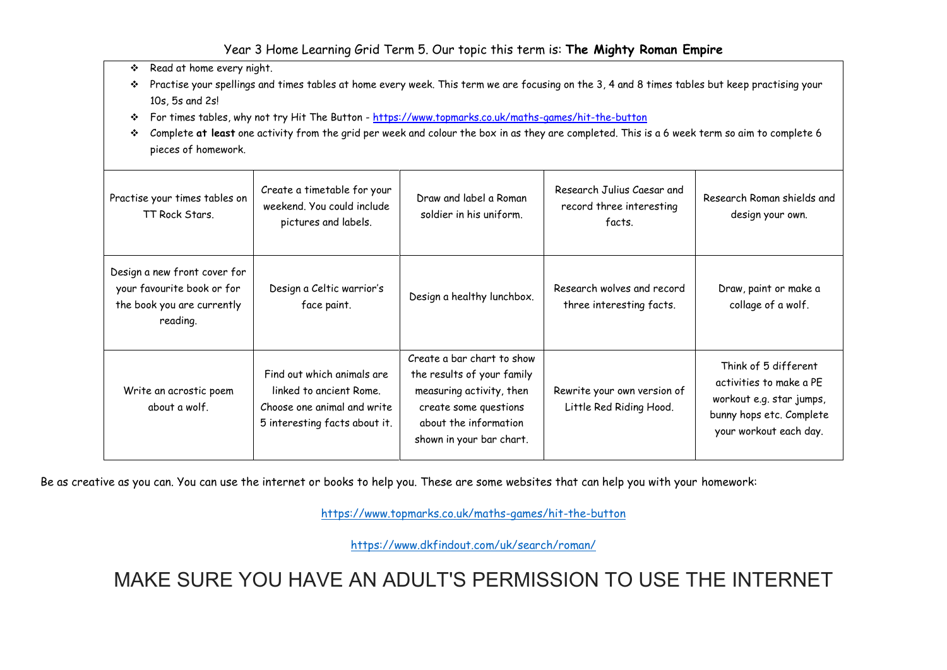## Year 3 Home Learning Grid Term 5. Our topic this term is: **The Mighty Roman Empire**

\* Read at home every night.

- Practise your spellings and times tables at home every week. This term we are focusing on the 3, 4 and 8 times tables but keep practising your 10s, 5s and 2s!
- For times tables, why not try Hit The Button -<https://www.topmarks.co.uk/maths-games/hit-the-button>
- Complete **at least** one activity from the grid per week and colour the box in as they are completed. This is a 6 week term so aim to complete 6 pieces of homework.

| Practise your times tables on<br>TT Rock Stars.                                                      | Create a timetable for your<br>weekend. You could include<br>pictures and labels.                                     | Draw and label a Roman<br>soldier in his uniform.                                                                                                                  | Research Julius Caesar and<br>record three interesting<br>facts. | Research Roman shields and<br>design your own.                                                                                    |
|------------------------------------------------------------------------------------------------------|-----------------------------------------------------------------------------------------------------------------------|--------------------------------------------------------------------------------------------------------------------------------------------------------------------|------------------------------------------------------------------|-----------------------------------------------------------------------------------------------------------------------------------|
| Design a new front cover for<br>your favourite book or for<br>the book you are currently<br>reading. | Design a Celtic warrior's<br>face paint.                                                                              | Design a healthy lunchbox.                                                                                                                                         | Research wolves and record<br>three interesting facts.           | Draw, paint or make a<br>collage of a wolf.                                                                                       |
| Write an acrostic poem<br>about a wolf.                                                              | Find out which animals are<br>linked to ancient Rome.<br>Choose one animal and write<br>5 interesting facts about it. | Create a bar chart to show<br>the results of your family<br>measuring activity, then<br>create some questions<br>about the information<br>shown in your bar chart. | Rewrite your own version of<br>Little Red Riding Hood.           | Think of 5 different<br>activities to make a PE<br>workout e.g. star jumps,<br>bunny hops etc. Complete<br>your workout each day. |

Be as creative as you can. You can use the internet or books to help you. These are some websites that can help you with your homework:

<https://www.topmarks.co.uk/maths-games/hit-the-button>

https://www.dkfindout.com/uk/search/roman/

MAKE SURE YOU HAVE AN ADULT'S PERMISSION TO USE THE INTERNET